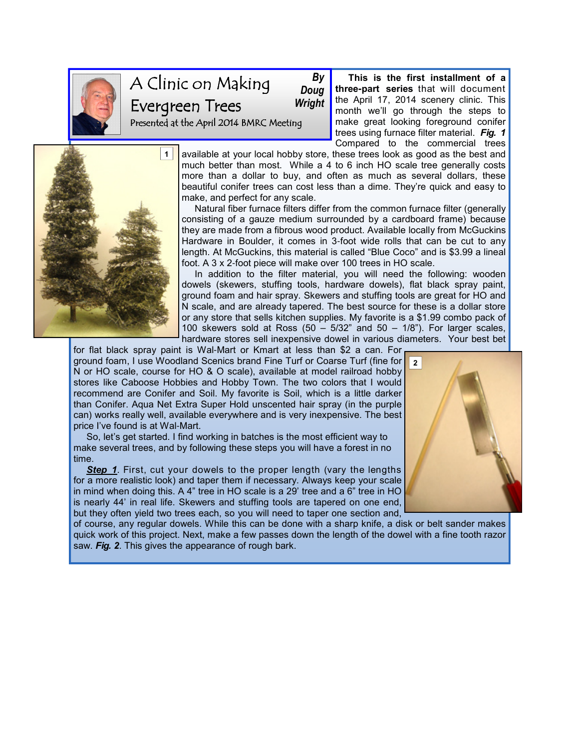

## A Clinic on Making Evergreen Trees Presented at the April 2014 BMRC Meeting By Doug **Wright**

1

month we'll go through the steps to make great looking foreground conifer trees using furnace filter material. Fig. 1 Compared to the commercial trees available at your local hobby store, these trees look as good as the best and much better than most. While a 4 to 6 inch HO scale tree generally costs more than a dollar to buy, and often as much as several dollars, these beautiful conifer trees can cost less than a dime. They're quick and easy to

 This is the first installment of a three**-**part series that will document the April 17, 2014 scenery clinic. This

make, and perfect for any scale. Natural fiber furnace filters differ from the common furnace filter (generally consisting of a gauze medium surrounded by a cardboard frame) because they are made from a fibrous wood product. Available locally from McGuckins Hardware in Boulder, it comes in 3-foot wide rolls that can be cut to any length. At McGuckins, this material is called "Blue Coco" and is \$3.99 a lineal foot. A 3 x 2-foot piece will make over 100 trees in HO scale.

 In addition to the filter material, you will need the following: wooden dowels (skewers, stuffing tools, hardware dowels), flat black spray paint, ground foam and hair spray. Skewers and stuffing tools are great for HO and N scale, and are already tapered. The best source for these is a dollar store or any store that sells kitchen supplies. My favorite is a \$1.99 combo pack of 100 skewers sold at Ross  $(50 - 5/32)$  and  $50 - 1/8$ "). For larger scales, hardware stores sell inexpensive dowel in various diameters. Your best bet

for flat black spray paint is Wal-Mart or Kmart at less than \$2 a can. For ground foam, I use Woodland Scenics brand Fine Turf or Coarse Turf (fine for <mark>Figure</mark> N or HO scale, course for HO & O scale), available at model railroad hobby stores like Caboose Hobbies and Hobby Town. The two colors that I would recommend are Conifer and Soil. My favorite is Soil, which is a little darker than Conifer. Aqua Net Extra Super Hold unscented hair spray (in the purple can) works really well, available everywhere and is very inexpensive. The best price I've found is at Wal-Mart.

 So, let's get started. I find working in batches is the most efficient way to make several trees, and by following these steps you will have a forest in no time.

Step 1. First, cut your dowels to the proper length (vary the lengths for a more realistic look) and taper them if necessary. Always keep your scale in mind when doing this. A 4" tree in HO scale is a 29' tree and a 6" tree in HO is nearly 44' in real life. Skewers and stuffing tools are tapered on one end, but they often yield two trees each, so you will need to taper one section and,

of course, any regular dowels. While this can be done with a sharp knife, a disk or belt sander makes quick work of this project. Next, make a few passes down the length of the dowel with a fine tooth razor saw. Fig. 2. This gives the appearance of rough bark.